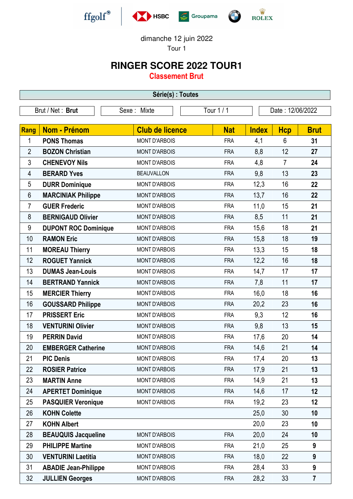







dimanche 12 juin 2022

Tour 1

## **RINGER SCORE 2022 TOUR1**

**Classement Brut**

| Série(s) : Toutes |                             |                        |            |              |                  |                         |  |  |  |
|-------------------|-----------------------------|------------------------|------------|--------------|------------------|-------------------------|--|--|--|
|                   | Brut / Net: Brut            | Sexe: Mixte            | Tour $1/1$ |              | Date: 12/06/2022 |                         |  |  |  |
|                   |                             |                        |            |              |                  |                         |  |  |  |
| Rang              | <b>Nom - Prénom</b>         | <b>Club de licence</b> | <b>Nat</b> | <b>Index</b> | <b>Hcp</b>       | <b>Brut</b>             |  |  |  |
| 1                 | <b>PONS Thomas</b>          | <b>MONT D'ARBOIS</b>   | <b>FRA</b> | 4,1          | $6\phantom{1}$   | 31                      |  |  |  |
| $\overline{2}$    | <b>BOZON Christian</b>      | <b>MONT D'ARBOIS</b>   | <b>FRA</b> | 8,8          | 12               | 27                      |  |  |  |
| $\mathfrak{Z}$    | <b>CHENEVOY Nils</b>        | <b>MONT D'ARBOIS</b>   | <b>FRA</b> | 4,8          | $\overline{7}$   | 24                      |  |  |  |
| 4                 | <b>BERARD Yves</b>          | <b>BEAUVALLON</b>      | <b>FRA</b> | 9,8          | 13               | 23                      |  |  |  |
| 5                 | <b>DURR Dominique</b>       | <b>MONT D'ARBOIS</b>   | <b>FRA</b> | 12,3         | 16               | 22                      |  |  |  |
| 6                 | <b>MARCINIAK Philippe</b>   | <b>MONT D'ARBOIS</b>   | <b>FRA</b> | 13,7         | 16               | 22                      |  |  |  |
| $\overline{7}$    | <b>GUER Frederic</b>        | <b>MONT D'ARBOIS</b>   | <b>FRA</b> | 11,0         | 15               | 21                      |  |  |  |
| 8                 | <b>BERNIGAUD Olivier</b>    | <b>MONT D'ARBOIS</b>   | <b>FRA</b> | 8,5          | 11               | 21                      |  |  |  |
| 9                 | <b>DUPONT ROC Dominique</b> | <b>MONT D'ARBOIS</b>   | <b>FRA</b> | 15,6         | 18               | 21                      |  |  |  |
| 10                | <b>RAMON Eric</b>           | <b>MONT D'ARBOIS</b>   | <b>FRA</b> | 15,8         | 18               | 19                      |  |  |  |
| 11                | <b>MOREAU Thierry</b>       | <b>MONT D'ARBOIS</b>   | <b>FRA</b> | 13,3         | 15               | 18                      |  |  |  |
| 12                | <b>ROGUET Yannick</b>       | <b>MONT D'ARBOIS</b>   | <b>FRA</b> | 12,2         | 16               | 18                      |  |  |  |
| 13                | <b>DUMAS Jean-Louis</b>     | <b>MONT D'ARBOIS</b>   | <b>FRA</b> | 14,7         | 17               | 17                      |  |  |  |
| 14                | <b>BERTRAND Yannick</b>     | <b>MONT D'ARBOIS</b>   | <b>FRA</b> | 7,8          | 11               | 17                      |  |  |  |
| 15                | <b>MERCIER Thierry</b>      | <b>MONT D'ARBOIS</b>   | <b>FRA</b> | 16,0         | 18               | 16                      |  |  |  |
| 16                | <b>GOUSSARD Philippe</b>    | <b>MONT D'ARBOIS</b>   | <b>FRA</b> | 20,2         | 23               | 16                      |  |  |  |
| 17                | <b>PRISSERT Eric</b>        | <b>MONT D'ARBOIS</b>   | <b>FRA</b> | 9,3          | 12               | 16                      |  |  |  |
| 18                | <b>VENTURINI Olivier</b>    | <b>MONT D'ARBOIS</b>   | <b>FRA</b> | 9,8          | 13               | 15                      |  |  |  |
| 19                | <b>PERRIN David</b>         | <b>MONT D'ARBOIS</b>   | <b>FRA</b> | 17,6         | 20               | 14                      |  |  |  |
| 20                | <b>EMBERGER Catherine</b>   | <b>MONT D'ARBOIS</b>   | <b>FRA</b> | 14,6         | 21               | 14                      |  |  |  |
| 21                | <b>PIC Denis</b>            | <b>MONT D'ARBOIS</b>   | <b>FRA</b> | 17,4         | 20               | 13                      |  |  |  |
| 22                | <b>ROSIER Patrice</b>       | <b>MONT D'ARBOIS</b>   | <b>FRA</b> | 17,9         | 21               | 13                      |  |  |  |
| 23                | <b>MARTIN Anne</b>          | <b>MONT D'ARBOIS</b>   | <b>FRA</b> | 14,9         | 21               | 13                      |  |  |  |
| 24                | <b>APERTET Dominique</b>    | <b>MONT D'ARBOIS</b>   | <b>FRA</b> | 14,6         | 17               | 12                      |  |  |  |
| 25                | <b>PASQUIER Veronique</b>   | <b>MONT D'ARBOIS</b>   | <b>FRA</b> | 19,2         | 23               | 12                      |  |  |  |
| 26                | <b>KOHN Colette</b>         |                        |            | 25,0         | 30               | 10                      |  |  |  |
| 27                | <b>KOHN Albert</b>          |                        |            | 20,0         | 23               | 10                      |  |  |  |
| 28                | <b>BEAUQUIS Jacqueline</b>  | <b>MONT D'ARBOIS</b>   | <b>FRA</b> | 20,0         | 24               | 10                      |  |  |  |
| 29                | <b>PHILIPPE Martine</b>     | <b>MONT D'ARBOIS</b>   | <b>FRA</b> | 21,0         | 25               | 9                       |  |  |  |
| 30                | <b>VENTURINI Laetitia</b>   | <b>MONT D'ARBOIS</b>   | <b>FRA</b> | 18,0         | 22               | 9                       |  |  |  |
| 31                | <b>ABADIE Jean-Philippe</b> | <b>MONT D'ARBOIS</b>   | <b>FRA</b> | 28,4         | 33               | 9                       |  |  |  |
| 32                | <b>JULLIEN Georges</b>      | <b>MONT D'ARBOIS</b>   | <b>FRA</b> | 28,2         | 33               | $\overline{\mathbf{7}}$ |  |  |  |